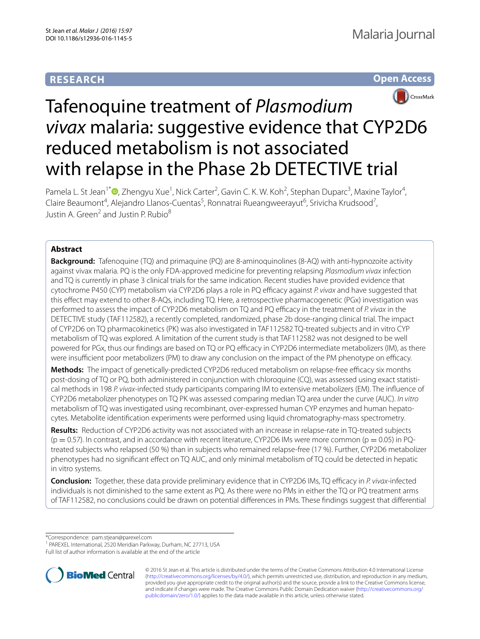# **RESEARCH**





# Tafenoquine treatment of *Plasmodium vivax* malaria: suggestive evidence that CYP2D6 reduced metabolism is not associated with relapse in the Phase 2b DETECTIVE trial

Pamela L. St Jean<sup>1\*</sup><sup>®</sup>[,](http://orcid.org/0000-0003-2188-6907) Zhengyu Xue<sup>1</sup>, Nick Carter<sup>2</sup>, Gavin C. K. W. Koh<sup>2</sup>, Stephan Duparc<sup>3</sup>, Maxine Taylor<sup>4</sup>, Claire Beaumont<sup>4</sup>, Alejandro Llanos-Cuentas<sup>5</sup>, Ronnatrai Rueangweerayut<sup>6</sup>, Srivicha Krudsood<sup>7</sup>, Justin A. Green<sup>2</sup> and Justin P. Rubio<sup>8</sup>

## **Abstract**

**Background:** Tafenoquine (TQ) and primaquine (PQ) are 8-aminoquinolines (8-AQ) with anti-hypnozoite activity against vivax malaria. PQ is the only FDA-approved medicine for preventing relapsing *Plasmodium vivax* infection and TQ is currently in phase 3 clinical trials for the same indication. Recent studies have provided evidence that cytochrome P450 (CYP) metabolism via CYP2D6 plays a role in PQ efficacy against *P. vivax* and have suggested that this effect may extend to other 8-AQs, including TQ. Here, a retrospective pharmacogenetic (PGx) investigation was performed to assess the impact of CYP2D6 metabolism on TQ and PQ efficacy in the treatment of *P. vivax* in the DETECTIVE study (TAF112582), a recently completed, randomized, phase 2b dose-ranging clinical trial. The impact of CYP2D6 on TQ pharmacokinetics (PK) was also investigated in TAF112582 TQ-treated subjects and in vitro CYP metabolism of TQ was explored. A limitation of the current study is that TAF112582 was not designed to be well powered for PGx, thus our findings are based on TQ or PQ efficacy in CYP2D6 intermediate metabolizers (IM), as there were insufficient poor metabolizers (PM) to draw any conclusion on the impact of the PM phenotype on efficacy.

**Methods:** The impact of genetically-predicted CYP2D6 reduced metabolism on relapse-free efficacy six months post-dosing of TQ or PQ, both administered in conjunction with chloroquine (CQ), was assessed using exact statistical methods in 198 *P. vivax*-infected study participants comparing IM to extensive metabolizers (EM). The influence of CYP2D6 metabolizer phenotypes on TQ PK was assessed comparing median TQ area under the curve (AUC). *In vitro* metabolism of TQ was investigated using recombinant, over-expressed human CYP enzymes and human hepatocytes. Metabolite identification experiments were performed using liquid chromatography-mass spectrometry.

**Results:** Reduction of CYP2D6 activity was not associated with an increase in relapse-rate in TQ-treated subjects  $(p = 0.57)$ . In contrast, and in accordance with recent literature, CYP2D6 IMs were more common  $(p = 0.05)$  in PQtreated subjects who relapsed (50 %) than in subjects who remained relapse-free (17 %). Further, CYP2D6 metabolizer phenotypes had no significant effect on TQ AUC, and only minimal metabolism of TQ could be detected in hepatic in vitro systems.

**Conclusion:** Together, these data provide preliminary evidence that in CYP2D6 IMs, TQ efficacy in *P. vivax*-infected individuals is not diminished to the same extent as PQ. As there were no PMs in either the TQ or PQ treatment arms of TAF112582, no conclusions could be drawn on potential differences in PMs. These findings suggest that differential

\*Correspondence: pam.stjean@parexel.com

<sup>1</sup> PAREXEL International, 2520 Meridian Parkway, Durham, NC 27713, USA Full list of author information is available at the end of the article



© 2016 St Jean et al. This article is distributed under the terms of the Creative Commons Attribution 4.0 International License [\(http://creativecommons.org/licenses/by/4.0/\)](http://creativecommons.org/licenses/by/4.0/), which permits unrestricted use, distribution, and reproduction in any medium, provided you give appropriate credit to the original author(s) and the source, provide a link to the Creative Commons license, and indicate if changes were made. The Creative Commons Public Domain Dedication waiver ([http://creativecommons.org/](http://creativecommons.org/publicdomain/zero/1.0/) [publicdomain/zero/1.0/](http://creativecommons.org/publicdomain/zero/1.0/)) applies to the data made available in this article, unless otherwise stated.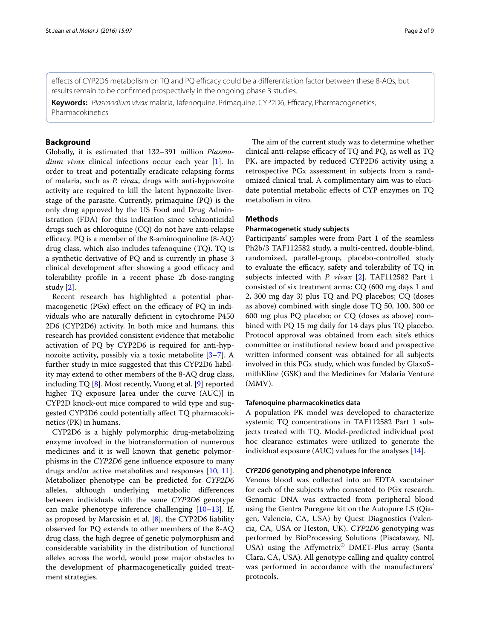effects of CYP2D6 metabolism on TQ and PQ efficacy could be a differentiation factor between these 8-AQs, but results remain to be confirmed prospectively in the ongoing phase 3 studies.

**Keywords:** *Plasmodium vivax* malaria, Tafenoquine, Primaquine, CYP2D6, Efficacy, Pharmacogenetics, Pharmacokinetics

## **Background**

Globally, it is estimated that 132–391 million *Plasmodium vivax* clinical infections occur each year [[1](#page-8-0)]. In order to treat and potentially eradicate relapsing forms of malaria, such as *P. vivax*, drugs with anti-hypnozoite activity are required to kill the latent hypnozoite liverstage of the parasite. Currently, primaquine (PQ) is the only drug approved by the US Food and Drug Administration (FDA) for this indication since schizonticidal drugs such as chloroquine (CQ) do not have anti-relapse efficacy. PQ is a member of the 8-aminoquinoline (8-AQ) drug class, which also includes tafenoquine (TQ). TQ is a synthetic derivative of PQ and is currently in phase 3 clinical development after showing a good efficacy and tolerability profile in a recent phase 2b dose-ranging study [\[2](#page-8-1)].

Recent research has highlighted a potential pharmacogenetic (PGx) effect on the efficacy of PQ in individuals who are naturally deficient in cytochrome P450 2D6 (CYP2D6) activity. In both mice and humans, this research has provided consistent evidence that metabolic activation of PQ by CYP2D6 is required for anti-hypnozoite activity, possibly via a toxic metabolite [[3–](#page-8-2)[7\]](#page-8-3). A further study in mice suggested that this CYP2D6 liability may extend to other members of the 8-AQ drug class, including TQ [\[8\]](#page-8-4). Most recently, Vuong et al. [\[9](#page-8-5)] reported higher TQ exposure [area under the curve (AUC)] in CYP2D knock-out mice compared to wild type and suggested CYP2D6 could potentially affect TQ pharmacokinetics (PK) in humans.

CYP2D6 is a highly polymorphic drug-metabolizing enzyme involved in the biotransformation of numerous medicines and it is well known that genetic polymorphisms in the *CYP2D6* gene influence exposure to many drugs and/or active metabolites and responses [[10](#page-8-6), [11](#page-8-7)]. Metabolizer phenotype can be predicted for *CYP2D6* alleles, although underlying metabolic differences between individuals with the same *CYP2D6* genotype can make phenotype inference challenging [[10](#page-8-6)[–13](#page-8-8)]. If, as proposed by Marcsisin et al. [[8\]](#page-8-4), the CYP2D6 liability observed for PQ extends to other members of the 8-AQ drug class, the high degree of genetic polymorphism and considerable variability in the distribution of functional alleles across the world, would pose major obstacles to the development of pharmacogenetically guided treatment strategies.

The aim of the current study was to determine whether clinical anti-relapse efficacy of TQ and PQ, as well as TQ PK, are impacted by reduced CYP2D6 activity using a retrospective PGx assessment in subjects from a randomized clinical trial. A complimentary aim was to elucidate potential metabolic effects of CYP enzymes on TQ metabolism in vitro.

## <span id="page-1-0"></span>**Methods**

## **Pharmacogenetic study subjects**

Participants' samples were from Part 1 of the seamless Ph2b/3 TAF112582 study, a multi-centred, double-blind, randomized, parallel-group, placebo-controlled study to evaluate the efficacy, safety and tolerability of TQ in subjects infected with *P. vivax* [\[2](#page-8-1)]. TAF112582 Part 1 consisted of six treatment arms: CQ (600 mg days 1 and 2, 300 mg day 3) plus TQ and PQ placebos; CQ (doses as above) combined with single dose TQ 50, 100, 300 or 600 mg plus PQ placebo; or CQ (doses as above) combined with PQ 15 mg daily for 14 days plus TQ placebo. Protocol approval was obtained from each site's ethics committee or institutional review board and prospective written informed consent was obtained for all subjects involved in this PGx study, which was funded by GlaxoSmithKline (GSK) and the Medicines for Malaria Venture (MMV).

#### **Tafenoquine pharmacokinetics data**

A population PK model was developed to characterize systemic TQ concentrations in TAF112582 Part 1 subjects treated with TQ. Model-predicted individual post hoc clearance estimates were utilized to generate the individual exposure (AUC) values for the analyses [[14\]](#page-8-9).

## *CYP2D6* **genotyping and phenotype inference**

Venous blood was collected into an EDTA vacutainer for each of the subjects who consented to PGx research. Genomic DNA was extracted from peripheral blood using the Gentra Puregene kit on the Autopure LS (Qiagen, Valencia, CA, USA) by Quest Diagnostics (Valencia, CA, USA or Heston, UK). *CYP2D6* genotyping was performed by BioProcessing Solutions (Piscataway, NJ, USA) using the Affymetrix® DMET-Plus array (Santa Clara, CA, USA). All genotype calling and quality control was performed in accordance with the manufacturers' protocols.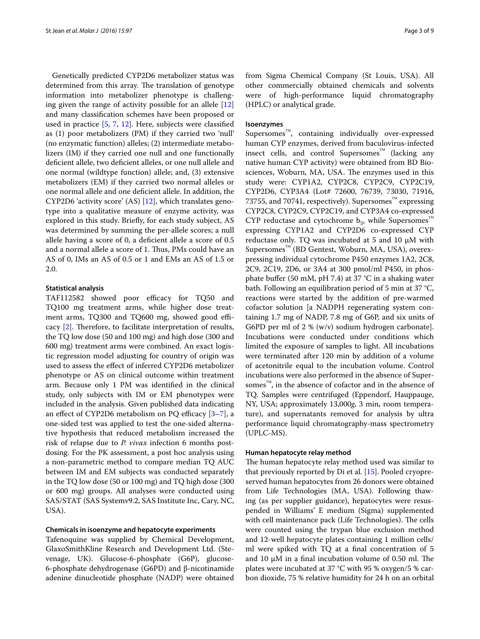Genetically predicted CYP2D6 metabolizer status was determined from this array. The translation of genotype information into metabolizer phenotype is challenging given the range of activity possible for an allele [[12](#page-8-10)] and many classification schemes have been proposed or used in practice [\[5](#page-8-11), [7,](#page-8-3) [12](#page-8-10)]. Here, subjects were classified as (1) poor metabolizers (PM) if they carried two 'null' (no enzymatic function) alleles; (2) intermediate metabolizers (IM) if they carried one null and one functionally deficient allele, two deficient alleles, or one null allele and one normal (wildtype function) allele; and, (3) extensive metabolizers (EM) if they carried two normal alleles or one normal allele and one deficient allele. In addition, the CYP2D6 'activity score' (AS) [\[12\]](#page-8-10), which translates genotype into a qualitative measure of enzyme activity, was explored in this study. Briefly, for each study subject, AS was determined by summing the per-allele scores; a null allele having a score of 0, a deficient allele a score of 0.5 and a normal allele a score of 1. Thus, PMs could have an AS of 0, IMs an AS of 0.5 or 1 and EMs an AS of 1.5 or 2.0.

#### **Statistical analysis**

TAF112582 showed poor efficacy for TQ50 and TQ100 mg treatment arms, while higher dose treatment arms, TQ300 and TQ600 mg, showed good efficacy [\[2](#page-8-1)]. Therefore, to facilitate interpretation of results, the TQ low dose (50 and 100 mg) and high dose (300 and 600 mg) treatment arms were combined. An exact logistic regression model adjusting for country of origin was used to assess the effect of inferred CYP2D6 metabolizer phenotype or AS on clinical outcome within treatment arm. Because only 1 PM was identified in the clinical study, only subjects with IM or EM phenotypes were included in the analysis. Given published data indicating an effect of CYP2D6 metabolism on PQ efficacy [\[3–](#page-8-2)[7\]](#page-8-3), a one-sided test was applied to test the one-sided alternative hypothesis that reduced metabolism increased the risk of relapse due to *P. vivax* infection 6 months postdosing. For the PK assessment, a post hoc analysis using a non-parametric method to compare median TQ AUC between IM and EM subjects was conducted separately in the TQ low dose (50 or 100 mg) and TQ high dose (300 or 600 mg) groups. All analyses were conducted using SAS/STAT (SAS Systemv9.2, SAS Institute Inc, Cary, NC, USA).

#### **Chemicals in isoenzyme and hepatocyte experiments**

Tafenoquine was supplied by Chemical Development, GlaxoSmithKline Research and Development Ltd. (Stevenage, UK). Glucose-6-phosphate (G6P), glucose-6-phosphate dehydrogenase (G6PD) and β-nicotinamide adenine dinucleotide phosphate (NADP) were obtained

from Sigma Chemical Company (St Louis, USA). All other commercially obtained chemicals and solvents were of high-performance liquid chromatography (HPLC) or analytical grade.

#### **Isoenzymes**

Supersomes<sup>™</sup>, containing individually over-expressed human CYP enzymes, derived from baculovirus-infected insect cells, and control Supersomes™ (lacking any native human CYP activity) were obtained from BD Biosciences, Woburn, MA, USA. The enzymes used in this study were: CYP1A2, CYP2C8, CYP2C9, CYP2C19, CYP2D6, CYP3A4 (Lot# 72600, 76739, 73030, 71916, 73755, and 70741, respectively). Supersomes™ expressing CYP2C8, CYP2C9, CYP2C19, and CYP3A4 co-expressed CYP reductase and cytochrome  $b_5$ , while Supersomes™ expressing CYP1A2 and CYP2D6 co-expressed CYP reductase only. TQ was incubated at 5 and 10 μM with Supersomes™ (BD Gentest, Woburn, MA, USA), overexpressing individual cytochrome P450 enzymes 1A2, 2C8, 2C9, 2C19, 2D6, or 3A4 at 300 pmol/ml P450, in phosphate buffer (50 mM, pH 7.4) at 37 °C in a shaking water bath. Following an equilibration period of 5 min at 37 °C, reactions were started by the addition of pre-warmed cofactor solution [a NADPH regenerating system containing 1.7 mg of NADP, 7.8 mg of G6P, and six units of G6PD per ml of 2 % (w/v) sodium hydrogen carbonate]. Incubations were conducted under conditions which limited the exposure of samples to light. All incubations were terminated after 120 min by addition of a volume of acetonitrile equal to the incubation volume. Control incubations were also performed in the absence of Supersomes $\mathbb{R}^n$ , in the absence of cofactor and in the absence of TQ. Samples were centrifuged (Eppendorf, Hauppauge, NY, USA; approximately 13,000*g*, 3 min, room temperature), and supernatants removed for analysis by ultra performance liquid chromatography-mass spectrometry (UPLC-MS).

#### **Human hepatocyte relay method**

The human hepatocyte relay method used was similar to that previously reported by Di et al. [\[15](#page-8-12)]. Pooled cryopreserved human hepatocytes from 26 donors were obtained from Life Technologies (MA, USA). Following thawing (as per supplier guidance), hepatocytes were resuspended in Williams' E medium (Sigma) supplemented with cell maintenance pack (Life Technologies). The cells were counted using the trypan blue exclusion method and 12-well hepatocyte plates containing 1 million cells/ ml were spiked with TQ at a final concentration of 5 and 10 μM in a final incubation volume of 0.50 ml. The plates were incubated at 37 °C with 95 % oxygen/5 % carbon dioxide, 75 % relative humidity for 24 h on an orbital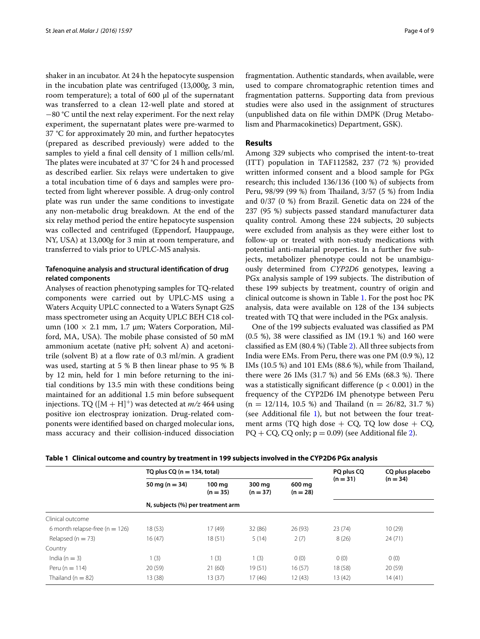shaker in an incubator. At 24 h the hepatocyte suspension in the incubation plate was centrifuged (13,000*g*, 3 min, room temperature); a total of  $600 \mu l$  of the supernatant was transferred to a clean 12-well plate and stored at −80 °C until the next relay experiment. For the next relay experiment, the supernatant plates were pre-warmed to 37 °C for approximately 20 min, and further hepatocytes (prepared as described previously) were added to the samples to yield a final cell density of 1 million cells/ml. The plates were incubated at 37 °C for 24 h and processed as described earlier. Six relays were undertaken to give a total incubation time of 6 days and samples were protected from light wherever possible. A drug-only control plate was run under the same conditions to investigate any non-metabolic drug breakdown. At the end of the six relay method period the entire hepatocyte suspension was collected and centrifuged (Eppendorf, Hauppauge, NY, USA) at 13,000*g* for 3 min at room temperature, and transferred to vials prior to UPLC-MS analysis.

## **Tafenoquine analysis and structural identification of drug related components**

Analyses of reaction phenotyping samples for TQ-related components were carried out by UPLC-MS using a Waters Acquity UPLC connected to a Waters Synapt G2S mass spectrometer using an Acquity UPLC BEH C18 column (100  $\times$  2.1 mm, 1.7 µm; Waters Corporation, Milford, MA, USA). The mobile phase consisted of 50 mM ammonium acetate (native pH; solvent A) and acetonitrile (solvent B) at a flow rate of 0.3 ml/min. A gradient was used, starting at 5 % B then linear phase to 95 % B by 12 min, held for 1 min before returning to the initial conditions by 13.5 min with these conditions being maintained for an additional 1.5 min before subsequent injections. TQ  $([M + H]^+)$  was detected at *m/z* 464 using positive ion electrospray ionization. Drug-related components were identified based on charged molecular ions, mass accuracy and their collision-induced dissociation

fragmentation. Authentic standards, when available, were used to compare chromatographic retention times and fragmentation patterns. Supporting data from previous studies were also used in the assignment of structures (unpublished data on file within DMPK (Drug Metabolism and Pharmacokinetics) Department, GSK).

#### **Results**

Among 329 subjects who comprised the intent-to-treat (ITT) population in TAF112582, 237 (72 %) provided written informed consent and a blood sample for PGx research; this included 136/136 (100 %) of subjects from Peru, 98/99 (99 %) from Thailand, 3/57 (5 %) from India and 0/37 (0 %) from Brazil. Genetic data on 224 of the 237 (95 %) subjects passed standard manufacturer data quality control. Among these 224 subjects, 20 subjects were excluded from analysis as they were either lost to follow-up or treated with non-study medications with potential anti-malarial properties. In a further five subjects, metabolizer phenotype could not be unambiguously determined from *CYP2D6* genotypes, leaving a PGx analysis sample of 199 subjects. The distribution of these 199 subjects by treatment, country of origin and clinical outcome is shown in Table [1.](#page-3-0) For the post hoc PK analysis, data were available on 128 of the 134 subjects treated with TQ that were included in the PGx analysis.

One of the 199 subjects evaluated was classified as PM (0.5 %), 38 were classified as IM (19.1 %) and 160 were classified as EM (80.4 %) (Table [2](#page-4-0)). All three subjects from India were EMs. From Peru, there was one PM (0.9 %), 12 IMs (10.5 %) and 101 EMs (88.6 %), while from Thailand, there were 26 IMs (31.7 %) and 56 EMs (68.3 %). There was a statistically significant difference ( $p < 0.001$ ) in the frequency of the CYP2D6 IM phenotype between Peru  $(n = 12/114, 10.5 \%)$  and Thailand  $(n = 26/82, 31.7 \%)$ (see Additional file  $1$ ), but not between the four treatment arms (TQ high dose  $+$  CQ, TQ low dose  $+$  CQ,  $PQ + CQ$ ,  $CQ$  only;  $p = 0.09$ ) (see Additional file [2](#page-7-1)).

<span id="page-3-0"></span>

|  |  |  |  | Table 1   Clinical outcome and country by treatment in 199 subjects involved in the CYP2D6 PGx analysis |  |
|--|--|--|--|---------------------------------------------------------------------------------------------------------|--|
|--|--|--|--|---------------------------------------------------------------------------------------------------------|--|

|                                    | TQ plus $CQ$ (n = 134, total)     |                      | PQ plus CQ           | CQ plus placebo      |            |            |  |  |
|------------------------------------|-----------------------------------|----------------------|----------------------|----------------------|------------|------------|--|--|
|                                    | 50 mg ( $n = 34$ )                | 100 mg<br>$(n = 35)$ | 300 mg<br>$(n = 37)$ | 600 mg<br>$(n = 28)$ | $(n = 31)$ | $(n = 34)$ |  |  |
|                                    | N, subjects (%) per treatment arm |                      |                      |                      |            |            |  |  |
| Clinical outcome                   |                                   |                      |                      |                      |            |            |  |  |
| 6 month relapse-free ( $n = 126$ ) | 18(53)                            | 17(49)               | 32 (86)              | 26 (93)              | 23(74)     | 10(29)     |  |  |
| Relapsed ( $n = 73$ )              | 16(47)                            | 18(51)               | 5(14)                | 2(7)                 | 8(26)      | 24(71)     |  |  |
| Country                            |                                   |                      |                      |                      |            |            |  |  |
| India ( $n = 3$ )                  | 1(3)                              | 1(3)                 | 1(3)                 | 0(0)                 | 0(0)       | 0(0)       |  |  |
| Peru ( $n = 114$ )                 | 20(59)                            | 21(60)               | 19(51)               | 16(57)               | 18 (58)    | 20(59)     |  |  |
| Thailand ( $n = 82$ )              | 13 (38)                           | 13(37)               | 17(46)               | 12(43)               | 13 (42)    | 14(41)     |  |  |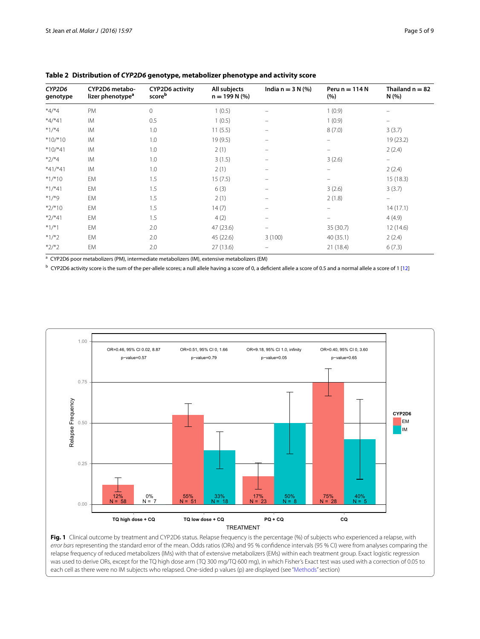| 3(3.7)            |
|-------------------|
| 19 (23.2)         |
| 2(2.4)            |
| $\qquad \qquad -$ |
| 2(2.4)            |
| 15(18.3)          |
| 3(3.7)            |
| -                 |
| 14(17.1)          |
| 4(4.9)            |
| 12 (14.6)         |
| 2(2.4)            |
| 6(7.3)            |
|                   |

## <span id="page-4-0"></span>**Table 2 Distribution of** *CYP2D6* **genotype, metabolizer phenotype and activity score**

a CYP2D6 poor metabolizers (PM), intermediate metabolizers (IM), extensive metabolizers (EM)

<sup>b</sup> CYP2D6 activity score is the sum of the per-allele scores; a null allele having a score of 0, a deficient allele a score of 0.5 and a normal allele a score of 1 [\[12](#page-8-10)]



<span id="page-4-1"></span>Fig. 1 Clinical outcome by treatment and CYP2D6 status. Relapse frequency is the percentage (%) of subjects who experienced a relapse, with *error bars* representing the standard error of the mean. Odds ratios (ORs) and 95 % confidence intervals (95 % CI) were from analyses comparing the relapse frequency of reduced metabolizers (IMs) with that of extensive metabolizers (EMs) within each treatment group. Exact logistic regression was used to derive ORs, except for the TQ high dose arm (TQ 300 mg/TQ 600 mg), in which Fisher's Exact test was used with a correction of 0.05 to each cell as there were no IM subjects who relapsed. One-sided p values (p) are displayed (see "[Methods](#page-1-0)" section)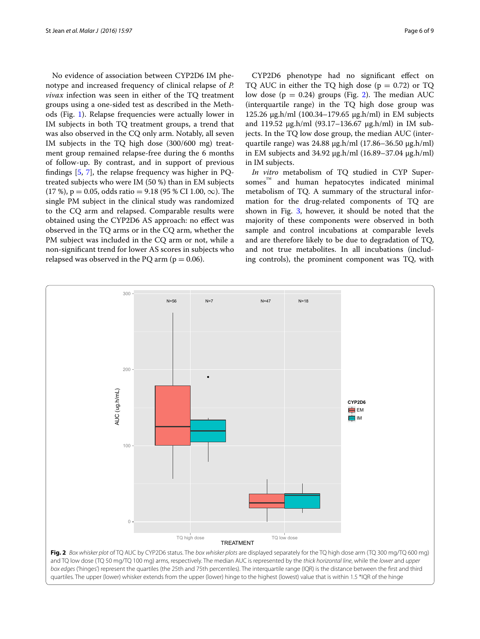No evidence of association between CYP2D6 IM phenotype and increased frequency of clinical relapse of *P. vivax* infection was seen in either of the TQ treatment groups using a one-sided test as described in the Methods (Fig. [1\)](#page-4-1). Relapse frequencies were actually lower in IM subjects in both TQ treatment groups, a trend that was also observed in the CQ only arm. Notably, all seven IM subjects in the TQ high dose (300/600 mg) treatment group remained relapse-free during the 6 months of follow-up. By contrast, and in support of previous findings [\[5](#page-8-11), [7\]](#page-8-3), the relapse frequency was higher in PQtreated subjects who were IM (50 %) than in EM subjects  $(17 \%)$ , p = 0.05, odds ratio = 9.18 (95 % CI 1.00,  $\infty$ ). The single PM subject in the clinical study was randomized to the CQ arm and relapsed. Comparable results were obtained using the CYP2D6 AS approach: no effect was observed in the TQ arms or in the CQ arm, whether the PM subject was included in the CQ arm or not, while a non-significant trend for lower AS scores in subjects who relapsed was observed in the PQ arm ( $p = 0.06$ ).

CYP2D6 phenotype had no significant effect on TQ AUC in either the TQ high dose ( $p = 0.72$ ) or TQ low dose ( $p = 0.24$  $p = 0.24$  $p = 0.24$ ) groups (Fig. 2). The median AUC (interquartile range) in the TQ high dose group was 125.26 μg.h/ml (100.34–179.65 μg.h/ml) in EM subjects and 119.52 μg.h/ml (93.17–136.67 μg.h/ml) in IM subjects. In the TQ low dose group, the median AUC (interquartile range) was 24.88 μg.h/ml (17.86–36.50 μg.h/ml) in EM subjects and 34.92 μg.h/ml (16.89–37.04 μg.h/ml) in IM subjects.

*In vitro* metabolism of TQ studied in CYP Supersomes™ and human hepatocytes indicated minimal metabolism of TQ. A summary of the structural information for the drug-related components of TQ are shown in Fig. [3,](#page-6-0) however, it should be noted that the majority of these components were observed in both sample and control incubations at comparable levels and are therefore likely to be due to degradation of TQ, and not true metabolites. In all incubations (including controls), the prominent component was TQ, with



<span id="page-5-0"></span>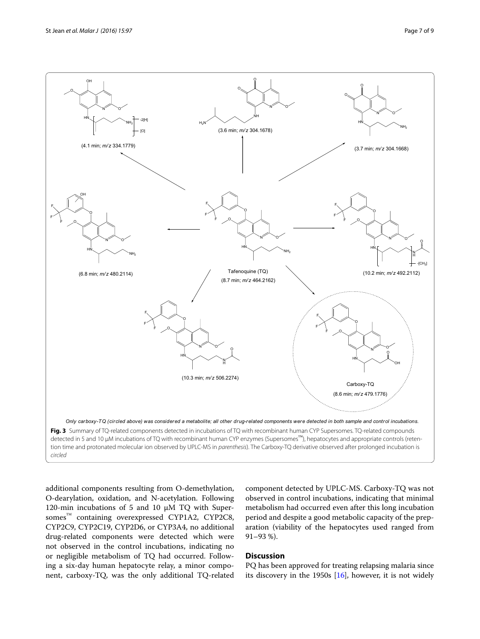

<span id="page-6-0"></span>additional components resulting from O-demethylation, O-dearylation, oxidation, and N-acetylation. Following 120-min incubations of 5 and 10  $\mu$ M TQ with Supersomes<sup>™</sup> containing overexpressed CYP1A2, CYP2C8, CYP2C9, CYP2C19, CYP2D6, or CYP3A4, no additional drug-related components were detected which were not observed in the control incubations, indicating no or negligible metabolism of TQ had occurred. Following a six-day human hepatocyte relay, a minor component, carboxy-TQ, was the only additional TQ-related

component detected by UPLC-MS. Carboxy-TQ was not observed in control incubations, indicating that minimal metabolism had occurred even after this long incubation period and despite a good metabolic capacity of the preparation (viability of the hepatocytes used ranged from 91–93 %).

## **Discussion**

PQ has been approved for treating relapsing malaria since its discovery in the 1950s [[16\]](#page-8-13), however, it is not widely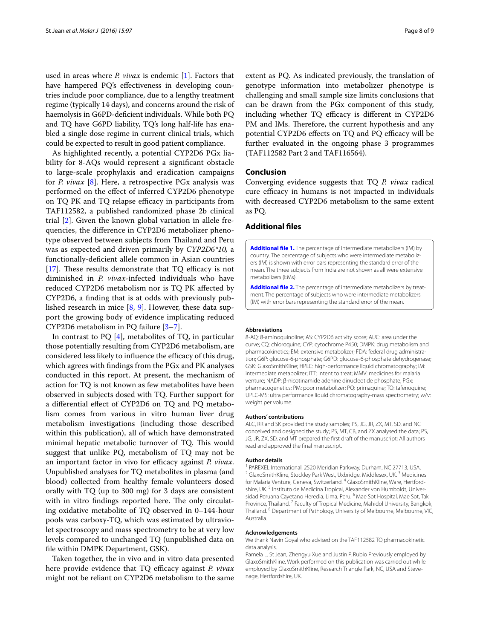used in areas where *P. vivax* is endemic [\[1](#page-8-0)]. Factors that have hampered PQ's effectiveness in developing countries include poor compliance, due to a lengthy treatment regime (typically 14 days), and concerns around the risk of haemolysis in G6PD-deficient individuals. While both PQ and TQ have G6PD liability, TQ's long half-life has enabled a single dose regime in current clinical trials, which could be expected to result in good patient compliance.

As highlighted recently, a potential CYP2D6 PGx liability for 8-AQs would represent a significant obstacle to large-scale prophylaxis and eradication campaigns for *P. vivax* [[8\]](#page-8-4). Here, a retrospective PGx analysis was performed on the effect of inferred CYP2D6 phenotype on TQ PK and TQ relapse efficacy in participants from TAF112582, a published randomized phase 2b clinical trial [\[2](#page-8-1)]. Given the known global variation in allele frequencies, the difference in CYP2D6 metabolizer phenotype observed between subjects from Thailand and Peru was as expected and driven primarily by *CYP2D6\*10,* a functionally-deficient allele common in Asian countries [[17\]](#page-8-14). These results demonstrate that TQ efficacy is not diminished in *P. vivax*-infected individuals who have reduced CYP2D6 metabolism nor is TQ PK affected by CYP2D6, a finding that is at odds with previously published research in mice [\[8](#page-8-4), [9\]](#page-8-5). However, these data support the growing body of evidence implicating reduced CYP2D6 metabolism in PQ failure [[3–](#page-8-2)[7](#page-8-3)].

In contrast to  $PQ$  [[4](#page-8-15)], metabolites of TQ, in particular those potentially resulting from CYP2D6 metabolism, are considered less likely to influence the efficacy of this drug, which agrees with findings from the PGx and PK analyses conducted in this report. At present, the mechanism of action for TQ is not known as few metabolites have been observed in subjects dosed with TQ. Further support for a differential effect of CYP2D6 on TQ and PQ metabolism comes from various in vitro human liver drug metabolism investigations (including those described within this publication), all of which have demonstrated minimal hepatic metabolic turnover of TQ. This would suggest that unlike PQ, metabolism of TQ may not be an important factor in vivo for efficacy against *P. vivax*. Unpublished analyses for TQ metabolites in plasma (and blood) collected from healthy female volunteers dosed orally with TQ (up to 300 mg) for 3 days are consistent with in vitro findings reported here. The only circulating oxidative metabolite of TQ observed in 0–144-hour pools was carboxy-TQ, which was estimated by ultraviolet spectroscopy and mass spectrometry to be at very low levels compared to unchanged TQ (unpublished data on file within DMPK Department, GSK).

Taken together, the in vivo and in vitro data presented here provide evidence that TQ efficacy against *P. vivax* might not be reliant on CYP2D6 metabolism to the same

extent as PQ. As indicated previously, the translation of genotype information into metabolizer phenotype is challenging and small sample size limits conclusions that can be drawn from the PGx component of this study, including whether TQ efficacy is different in CYP2D6 PM and IMs. Therefore, the current hypothesis and any potential CYP2D6 effects on TQ and PQ efficacy will be further evaluated in the ongoing phase 3 programmes (TAF112582 Part 2 and TAF116564).

#### **Conclusion**

Converging evidence suggests that TQ *P. vivax* radical cure efficacy in humans is not impacted in individuals with decreased CYP2D6 metabolism to the same extent as PQ.

## **Additional files**

<span id="page-7-0"></span>**[Additional file 1.](http://dx.doi.org/10.1186/s12936-016-1145-5)** The percentage of intermediate metabolizers (IM) by country. The percentage of subjects who were intermediate metabolizers (IM) is shown with error bars representing the standard error of the mean. The three subjects from India are not shown as all were extensive metabolizers (EMs).

<span id="page-7-1"></span>**[Additional file 2.](http://dx.doi.org/10.1186/s12936-016-1145-5)** The percentage of intermediate metabolizers by treat‑ ment. The percentage of subjects who were intermediate metabolizers (IM) with error bars representing the standard error of the mean.

#### **Abbreviations**

8-AQ: 8-aminoquinoline; AS: CYP2D6 activity score; AUC: area under the curve; CQ: chloroquine; CYP: cytochrome P450; DMPK: drug metabolism and pharmacokinetics; EM: extensive metabolizer; FDA: federal drug administration; G6P: glucose-6-phosphate; G6PD: glucose-6-phosphate dehydrogenase; GSK: GlaxoSmithKline; HPLC: high-performance liquid chromatography; IM: intermediate metabolizer; ITT: intent to treat; MMV: medicines for malaria venture; NADP: β-nicotinamide adenine dinucleotide phosphate; PGx: pharmacogenetics; PM: poor metabolizer; PQ: primaquine; TQ: tafenoquine; UPLC-MS: ultra performance liquid chromatography-mass spectrometry; w/v: weight per volume.

#### **Authors' contributions**

ALC, RR and SK provided the study samples; PS, JG, JR, ZX, MT, SD, and NC conceived and designed the study; PS, MT, CB, and ZX analysed the data; PS, JG, JR, ZX, SD, and MT prepared the first draft of the manuscript; All authors read and approved the final manuscript.

#### **Author details**

<sup>1</sup> PAREXEL International, 2520 Meridian Parkway, Durham, NC 27713, USA. <sup>2</sup> GlaxoSmithKline, Stockley Park West, Uxbridge, Middlesex, UK.<sup>3</sup> Medicines for Malaria Venture, Geneva, Switzerland, <sup>4</sup> GlaxoSmithKline, Ware, Hertfordshire, UK.<sup>5</sup> Instituto de Medicina Tropical, Alexander von Humboldt, Universidad Peruana Cayetano Heredia, Lima, Peru. <sup>6</sup> Mae Sot Hospital, Mae Sot, Tak Province, Thailand.<sup>7</sup> Faculty of Tropical Medicine, Mahidol University, Bangkok, Thailand. 8 Department of Pathology, University of Melbourne, Melbourne, VIC, Australia.

#### **Acknowledgements**

We thank Navin Goyal who advised on the TAF112582 TQ pharmacokinetic data analysis.

Pamela L. St Jean, Zhengyu Xue and Justin P. Rubio Previously employed by GlaxoSmithKline. Work performed on this publication was carried out while employed by GlaxoSmithKline, Research Triangle Park, NC, USA and Stevenage, Hertfordshire, UK.